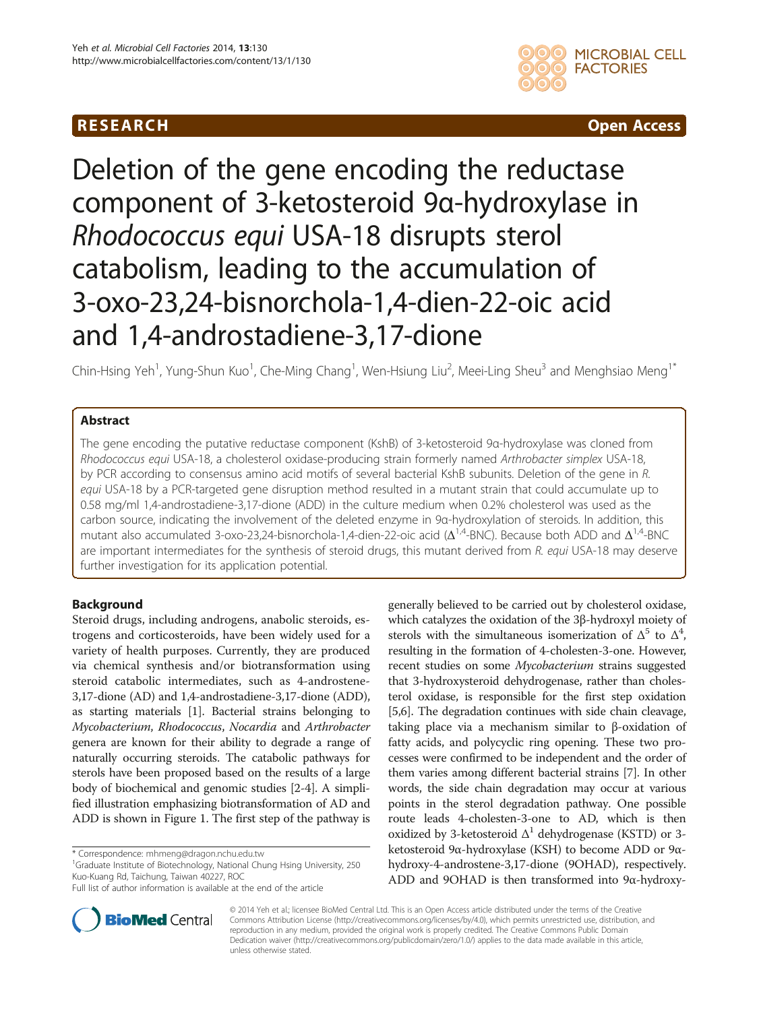## **RESEARCH RESEARCH** *CHECKER CHECKER CHECKER CHECKER CHECKER CHECKER CHECKER CHECKER CHECKER CHECKER CHECKER*



# Deletion of the gene encoding the reductase component of 3-ketosteroid 9α-hydroxylase in Rhodococcus equi USA-18 disrupts sterol catabolism, leading to the accumulation of 3-oxo-23,24-bisnorchola-1,4-dien-22-oic acid and 1,4-androstadiene-3,17-dione

Chin-Hsing Yeh<sup>1</sup>, Yung-Shun Kuo<sup>1</sup>, Che-Ming Chang<sup>1</sup>, Wen-Hsiung Liu<sup>2</sup>, Meei-Ling Sheu<sup>3</sup> and Menghsiao Meng<sup>1\*</sup>

## Abstract

The gene encoding the putative reductase component (KshB) of 3-ketosteroid 9α-hydroxylase was cloned from Rhodococcus equi USA-18, a cholesterol oxidase-producing strain formerly named Arthrobacter simplex USA-18, by PCR according to consensus amino acid motifs of several bacterial KshB subunits. Deletion of the gene in R. equi USA-18 by a PCR-targeted gene disruption method resulted in a mutant strain that could accumulate up to 0.58 mg/ml 1,4-androstadiene-3,17-dione (ADD) in the culture medium when 0.2% cholesterol was used as the carbon source, indicating the involvement of the deleted enzyme in 9α-hydroxylation of steroids. In addition, this mutant also accumulated 3-oxo-23,24-bisnorchola-1,4-dien-22-oic acid ( $\Delta^{1,4}$ -BNC). Because both ADD and  $\Delta^{1,4}$ -BNC are important intermediates for the synthesis of steroid drugs, this mutant derived from R. equi USA-18 may deserve further investigation for its application potential.

## Background

Steroid drugs, including androgens, anabolic steroids, estrogens and corticosteroids, have been widely used for a variety of health purposes. Currently, they are produced via chemical synthesis and/or biotransformation using steroid catabolic intermediates, such as 4-androstene-3,17-dione (AD) and 1,4-androstadiene-3,17-dione (ADD), as starting materials [[1](#page-9-0)]. Bacterial strains belonging to Mycobacterium, Rhodococcus, Nocardia and Arthrobacter genera are known for their ability to degrade a range of naturally occurring steroids. The catabolic pathways for sterols have been proposed based on the results of a large body of biochemical and genomic studies [\[2-4](#page-9-0)]. A simplified illustration emphasizing biotransformation of AD and ADD is shown in Figure [1.](#page-1-0) The first step of the pathway is

<sup>1</sup>Graduate Institute of Biotechnology, National Chung Hsing University, 250 Kuo-Kuang Rd, Taichung, Taiwan 40227, ROC



**BioMed** Central

© 2014 Yeh et al.; licensee BioMed Central Ltd. This is an Open Access article distributed under the terms of the Creative Commons Attribution License [\(http://creativecommons.org/licenses/by/4.0\)](http://creativecommons.org/licenses/by/4.0), which permits unrestricted use, distribution, and reproduction in any medium, provided the original work is properly credited. The Creative Commons Public Domain Dedication waiver [\(http://creativecommons.org/publicdomain/zero/1.0/](http://creativecommons.org/publicdomain/zero/1.0/)) applies to the data made available in this article, unless otherwise stated.

<sup>\*</sup> Correspondence: [mhmeng@dragon.nchu.edu.tw](mailto:mhmeng@dragon.nchu.edu.tw) <sup>1</sup>

Full list of author information is available at the end of the article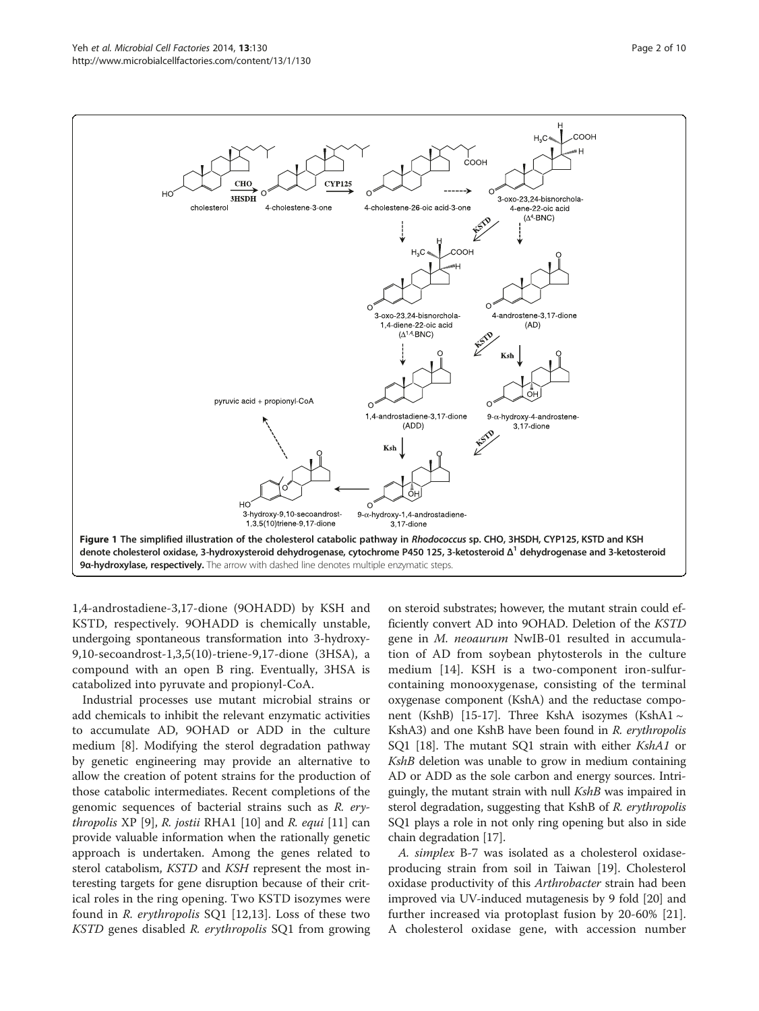<span id="page-1-0"></span>

1,4-androstadiene-3,17-dione (9OHADD) by KSH and KSTD, respectively. 9OHADD is chemically unstable, undergoing spontaneous transformation into 3-hydroxy-9,10-secoandrost-1,3,5(10)-triene-9,17-dione (3HSA), a compound with an open B ring. Eventually, 3HSA is catabolized into pyruvate and propionyl-CoA.

Industrial processes use mutant microbial strains or add chemicals to inhibit the relevant enzymatic activities to accumulate AD, 9OHAD or ADD in the culture medium [\[8](#page-9-0)]. Modifying the sterol degradation pathway by genetic engineering may provide an alternative to allow the creation of potent strains for the production of those catabolic intermediates. Recent completions of the genomic sequences of bacterial strains such as R. erythropolis XP  $[9]$  $[9]$  $[9]$ , R. jostii RHA1  $[10]$  $[10]$  and R. equi  $[11]$  $[11]$  can provide valuable information when the rationally genetic approach is undertaken. Among the genes related to sterol catabolism, KSTD and KSH represent the most interesting targets for gene disruption because of their critical roles in the ring opening. Two KSTD isozymes were found in R. erythropolis SQ1 [[12,13](#page-9-0)]. Loss of these two KSTD genes disabled R. erythropolis SQ1 from growing

on steroid substrates; however, the mutant strain could efficiently convert AD into 9OHAD. Deletion of the KSTD gene in M. neoaurum NwIB-01 resulted in accumulation of AD from soybean phytosterols in the culture medium [\[14](#page-9-0)]. KSH is a two-component iron-sulfurcontaining monooxygenase, consisting of the terminal oxygenase component (KshA) and the reductase compo-nent (KshB) [\[15-17\]](#page-9-0). Three KshA isozymes (KshA1  $\sim$ KshA3) and one KshB have been found in R. erythropolis SQ1 [\[18](#page-9-0)]. The mutant SQ1 strain with either KshA1 or KshB deletion was unable to grow in medium containing AD or ADD as the sole carbon and energy sources. Intriguingly, the mutant strain with null *KshB* was impaired in sterol degradation, suggesting that KshB of R. erythropolis SQ1 plays a role in not only ring opening but also in side chain degradation [\[17\]](#page-9-0).

A. simplex B-7 was isolated as a cholesterol oxidaseproducing strain from soil in Taiwan [[19\]](#page-9-0). Cholesterol oxidase productivity of this *Arthrobacter* strain had been improved via UV-induced mutagenesis by 9 fold [[20](#page-9-0)] and further increased via protoplast fusion by 20-60% [\[21](#page-9-0)]. A cholesterol oxidase gene, with accession number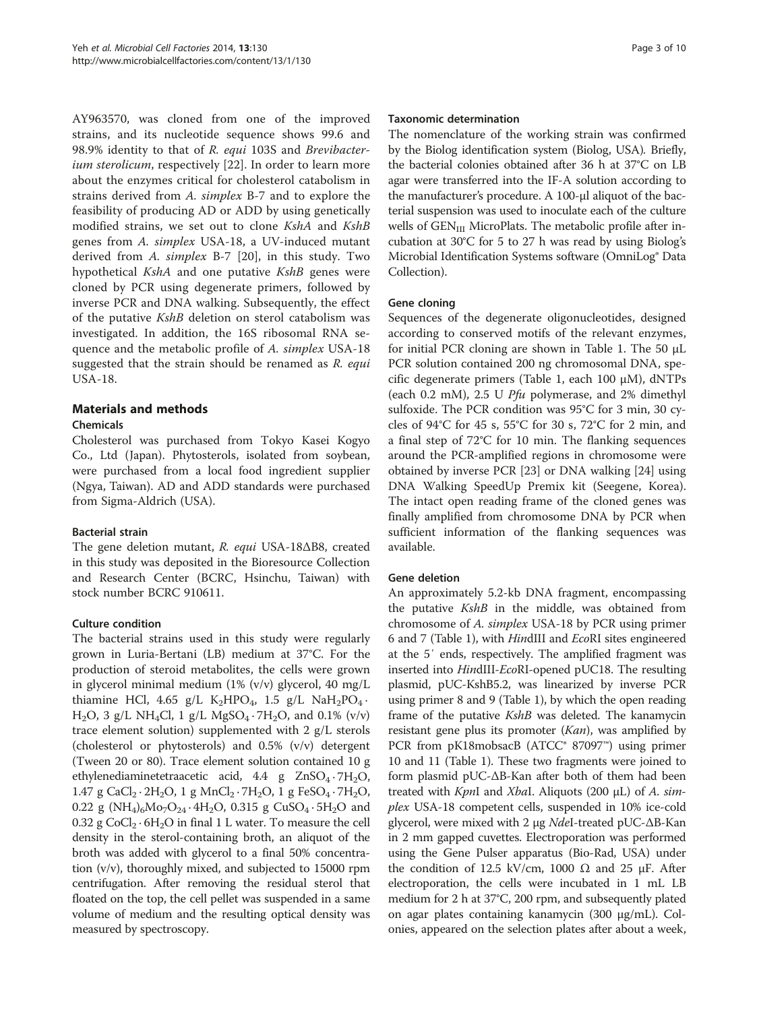<span id="page-2-0"></span>AY963570, was cloned from one of the improved strains, and its nucleotide sequence shows 99.6 and 98.9% identity to that of R. equi 103S and Brevibacter-ium sterolicum, respectively [[22\]](#page-9-0). In order to learn more about the enzymes critical for cholesterol catabolism in strains derived from A. simplex B-7 and to explore the feasibility of producing AD or ADD by using genetically modified strains, we set out to clone KshA and KshB genes from A. simplex USA-18, a UV-induced mutant derived from A. simplex B-7 [[20\]](#page-9-0), in this study. Two hypothetical KshA and one putative KshB genes were cloned by PCR using degenerate primers, followed by inverse PCR and DNA walking. Subsequently, the effect of the putative KshB deletion on sterol catabolism was investigated. In addition, the 16S ribosomal RNA sequence and the metabolic profile of A. simplex USA-18 suggested that the strain should be renamed as  $R$ . equi USA-18.

## Materials and methods

### Chemicals

Cholesterol was purchased from Tokyo Kasei Kogyo Co., Ltd (Japan). Phytosterols, isolated from soybean, were purchased from a local food ingredient supplier (Ngya, Taiwan). AD and ADD standards were purchased from Sigma-Aldrich (USA).

### Bacterial strain

The gene deletion mutant, R. equi USA-18ΔB8, created in this study was deposited in the Bioresource Collection and Research Center (BCRC, Hsinchu, Taiwan) with stock number BCRC 910611.

### Culture condition

The bacterial strains used in this study were regularly grown in Luria-Bertani (LB) medium at 37°C. For the production of steroid metabolites, the cells were grown in glycerol minimal medium (1% (v/v) glycerol, 40 mg/L thiamine HCl, 4.65 g/L  $\text{K}_2\text{HPO}_4$ , 1.5 g/L  $\text{NaH}_2\text{PO}_4$ .  $H_2O$ , 3 g/L NH<sub>4</sub>Cl, 1 g/L MgSO<sub>4</sub> · 7H<sub>2</sub>O, and 0.1% (v/v) trace element solution) supplemented with 2 g/L sterols (cholesterol or phytosterols) and 0.5% (v/v) detergent (Tween 20 or 80). Trace element solution contained 10 g ethylenediaminetetraacetic acid,  $4.4$  g  $ZnSO_4 \cdot 7H_2O$ , 1.47 g CaCl<sub>2</sub> · 2H<sub>2</sub>O, 1 g MnCl<sub>2</sub> · 7H<sub>2</sub>O, 1 g FeSO<sub>4</sub> · 7H<sub>2</sub>O, 0.22 g (NH<sub>4</sub>)<sub>6</sub>Mo<sub>7</sub>O<sub>24</sub> · 4H<sub>2</sub>O, 0.315 g CuSO<sub>4</sub> · 5H<sub>2</sub>O and 0.32 g  $CoCl_2 \cdot 6H_2O$  in final 1 L water. To measure the cell density in the sterol-containing broth, an aliquot of the broth was added with glycerol to a final 50% concentration (v/v), thoroughly mixed, and subjected to 15000 rpm centrifugation. After removing the residual sterol that floated on the top, the cell pellet was suspended in a same volume of medium and the resulting optical density was measured by spectroscopy.

## Taxonomic determination

The nomenclature of the working strain was confirmed by the Biolog identification system (Biolog, USA). Briefly, the bacterial colonies obtained after 36 h at 37°C on LB agar were transferred into the IF-A solution according to the manufacturer's procedure. A 100-μl aliquot of the bacterial suspension was used to inoculate each of the culture wells of  $GEN_{III}$  MicroPlats. The metabolic profile after incubation at 30°C for 5 to 27 h was read by using Biolog's Microbial Identification Systems software (OmniLog® Data Collection).

## Gene cloning

Sequences of the degenerate oligonucleotides, designed according to conserved motifs of the relevant enzymes, for initial PCR cloning are shown in Table [1](#page-3-0). The 50 μL PCR solution contained 200 ng chromosomal DNA, specific degenerate primers (Table [1](#page-3-0), each 100 μM), dNTPs (each 0.2 mM), 2.5 U Pfu polymerase, and 2% dimethyl sulfoxide. The PCR condition was 95°C for 3 min, 30 cycles of 94°C for 45 s, 55°C for 30 s, 72°C for 2 min, and a final step of 72°C for 10 min. The flanking sequences around the PCR-amplified regions in chromosome were obtained by inverse PCR [\[23](#page-9-0)] or DNA walking [[24\]](#page-9-0) using DNA Walking SpeedUp Premix kit (Seegene, Korea). The intact open reading frame of the cloned genes was finally amplified from chromosome DNA by PCR when sufficient information of the flanking sequences was available.

### Gene deletion

An approximately 5.2-kb DNA fragment, encompassing the putative KshB in the middle, was obtained from chromosome of A. simplex USA-18 by PCR using primer 6 and 7 (Table [1](#page-3-0)), with HindIII and EcoRI sites engineered at the 5′ ends, respectively. The amplified fragment was inserted into HindIII-EcoRI-opened pUC18. The resulting plasmid, pUC-KshB5.2, was linearized by inverse PCR using primer 8 and 9 (Table [1](#page-3-0)), by which the open reading frame of the putative *KshB* was deleted. The kanamycin resistant gene plus its promoter (Kan), was amplified by PCR from pK18mobsacB (ATCC® 87097™) using primer 10 and 11 (Table [1](#page-3-0)). These two fragments were joined to form plasmid pUC-ΔΒ-Kan after both of them had been treated with  $KpnI$  and XbaI. Aliquots (200  $\mu$ L) of A. simplex USA-18 competent cells, suspended in 10% ice-cold glycerol, were mixed with 2 μg NdeI-treated pUC-ΔΒ-Kan in 2 mm gapped cuvettes. Electroporation was performed using the Gene Pulser apparatus (Bio-Rad, USA) under the condition of 12.5 kV/cm, 1000  $\Omega$  and 25 μF. After electroporation, the cells were incubated in 1 mL LB medium for 2 h at 37°C, 200 rpm, and subsequently plated on agar plates containing kanamycin (300 μg/mL). Colonies, appeared on the selection plates after about a week,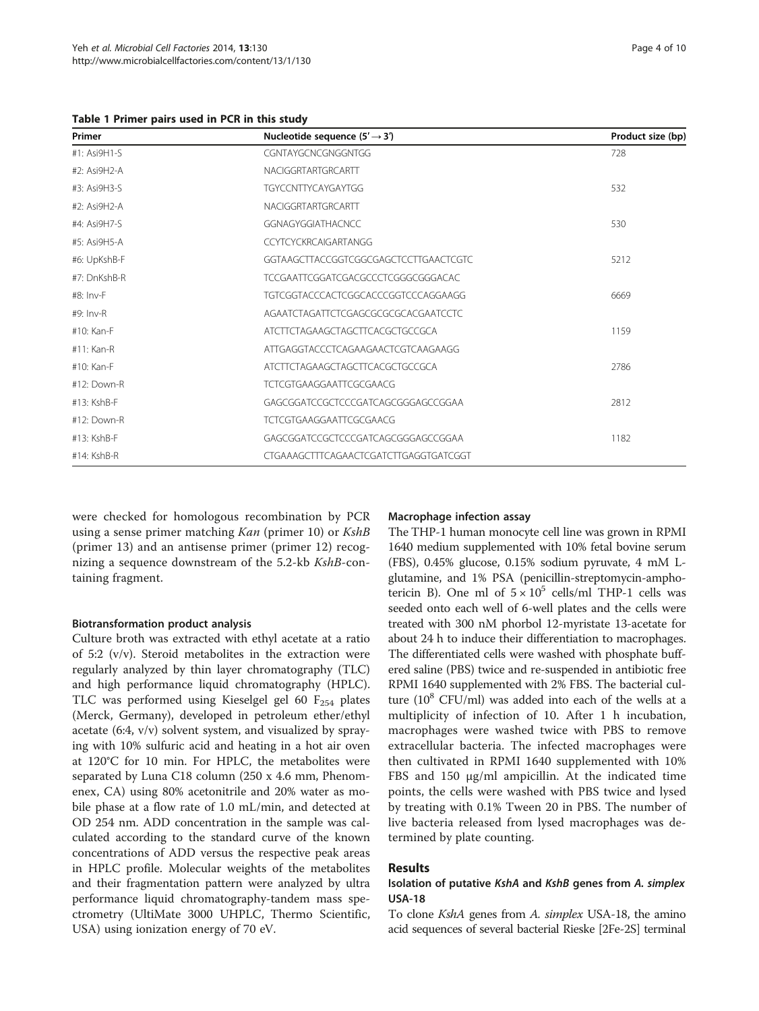<span id="page-3-0"></span>Table 1 Primer pairs used in PCR in this study

| Primer         | Nucleotide sequence $(5' \rightarrow 3')$ | Product size (bp) |
|----------------|-------------------------------------------|-------------------|
| $#1: Asi9H1-S$ | CGNTAYGCNCGNGGNTGG                        | 728               |
| #2: Asi9H2-A   | NACIGGRTARTGRCARTT                        |                   |
| #3: Asi9H3-S   | TGYCCNTTYCAYGAYTGG                        | 532               |
| #2: Asi9H2-A   | NACIGGRTARTGRCARTT                        |                   |
| #4: Asi9H7-S   | <b>GGNAGYGGIATHACNCC</b>                  | 530               |
| #5: Asi9H5-A   | <b>CCYTCYCKRCAIGARTANGG</b>               |                   |
| #6: UpKshB-F   | GGTAAGCTTACCGGTCGGCGAGCTCCTTGAACTCGTC     | 5212              |
| #7: DnKshB-R   | TCCGAATTCGGATCGACGCCCTCGGGCGGGACAC        |                   |
| $#8: Inv-F$    | TGTCGGTACCCACTCGGCACCCGGTCCCAGGAAGG       | 6669              |
| $#9: Inv-R$    | AGAATCTAGATTCTCGAGCGCGCGCACGAATCCTC       |                   |
| #10: Kan-F     | ATCTTCTAGAAGCTAGCTTCACGCTGCCGCA           | 1159              |
| #11: Kan-R     | ATTGAGGTACCCTCAGAAGAACTCGTCAAGAAGG        |                   |
| #10: Kan-F     | ATCTTCTAGAAGCTAGCTTCACGCTGCCGCA           | 2786              |
| #12: Down-R    | TCTCGTGAAGGAATTCGCGAACG                   |                   |
| #13: KshB-F    | GAGCGGATCCGCTCCCGATCAGCGGGAGCCGGAA        | 2812              |
| $#12:Down-R$   | TCTCGTGAAGGAATTCGCGAACG                   |                   |
| #13: KshB-F    | GAGCGGATCCGCTCCCGATCAGCGGGAGCCGGAA        | 1182              |
| #14: KshB-R    | CTGAAAGCTTTCAGAACTCGATCTTGAGGTGATCGGT     |                   |

were checked for homologous recombination by PCR using a sense primer matching Kan (primer 10) or KshB (primer 13) and an antisense primer (primer 12) recognizing a sequence downstream of the 5.2-kb KshB-containing fragment.

#### Biotransformation product analysis

Culture broth was extracted with ethyl acetate at a ratio of 5:2 (v/v). Steroid metabolites in the extraction were regularly analyzed by thin layer chromatography (TLC) and high performance liquid chromatography (HPLC). TLC was performed using Kieselgel gel 60  $F_{254}$  plates (Merck, Germany), developed in petroleum ether/ethyl acetate (6:4, v/v) solvent system, and visualized by spraying with 10% sulfuric acid and heating in a hot air oven at 120°C for 10 min. For HPLC, the metabolites were separated by Luna C18 column (250 x 4.6 mm, Phenomenex, CA) using 80% acetonitrile and 20% water as mobile phase at a flow rate of 1.0 mL/min, and detected at OD 254 nm. ADD concentration in the sample was calculated according to the standard curve of the known concentrations of ADD versus the respective peak areas in HPLC profile. Molecular weights of the metabolites and their fragmentation pattern were analyzed by ultra performance liquid chromatography-tandem mass spectrometry (UltiMate 3000 UHPLC, Thermo Scientific, USA) using ionization energy of 70 eV.

#### Macrophage infection assay

The THP-1 human monocyte cell line was grown in RPMI 1640 medium supplemented with 10% fetal bovine serum (FBS), 0.45% glucose, 0.15% sodium pyruvate, 4 mM Lglutamine, and 1% PSA (penicillin-streptomycin-amphotericin B). One ml of  $5 \times 10^5$  cells/ml THP-1 cells was seeded onto each well of 6-well plates and the cells were treated with 300 nM phorbol 12-myristate 13-acetate for about 24 h to induce their differentiation to macrophages. The differentiated cells were washed with phosphate buffered saline (PBS) twice and re-suspended in antibiotic free RPMI 1640 supplemented with 2% FBS. The bacterial culture  $(10^8 \text{ CFU/ml})$  was added into each of the wells at a multiplicity of infection of 10. After 1 h incubation, macrophages were washed twice with PBS to remove extracellular bacteria. The infected macrophages were then cultivated in RPMI 1640 supplemented with 10% FBS and 150 μg/ml ampicillin. At the indicated time points, the cells were washed with PBS twice and lysed by treating with 0.1% Tween 20 in PBS. The number of live bacteria released from lysed macrophages was determined by plate counting.

#### Results

### Isolation of putative KshA and KshB genes from A. simplex USA-18

To clone *KshA* genes from *A. simplex* USA-18, the amino acid sequences of several bacterial Rieske [2Fe-2S] terminal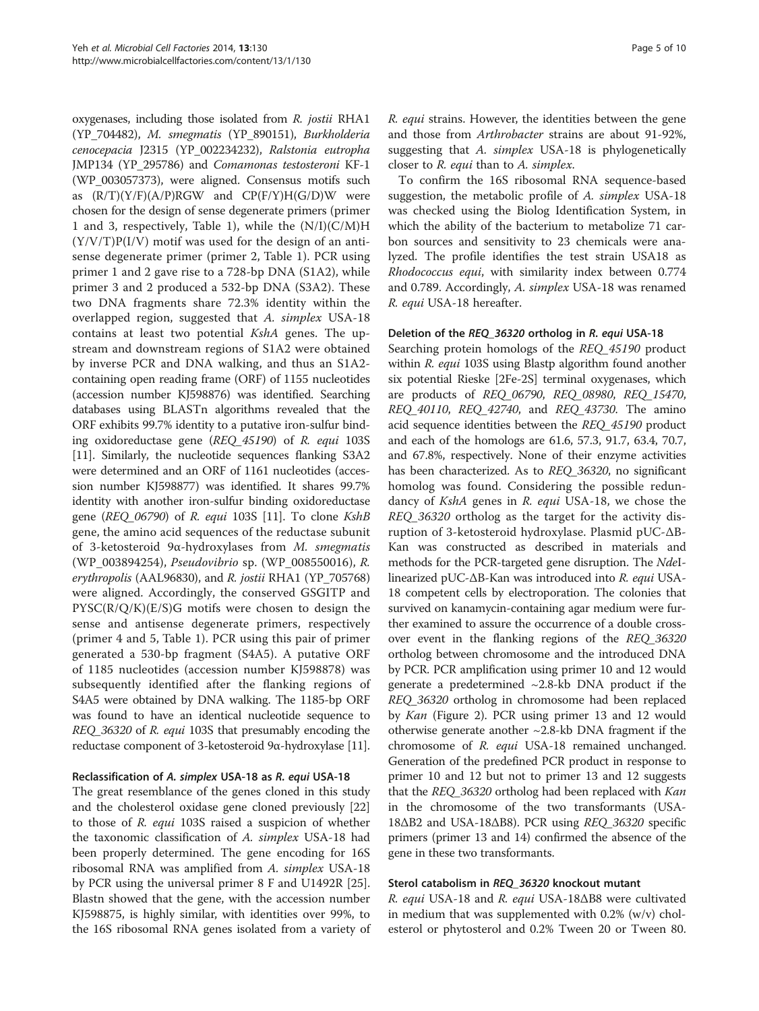oxygenases, including those isolated from R. jostii RHA1 (YP\_704482), M. smegmatis (YP\_890151), Burkholderia cenocepacia J2315 (YP\_002234232), Ralstonia eutropha JMP134 (YP\_295786) and Comamonas testosteroni KF-1 (WP\_003057373), were aligned. Consensus motifs such as  $(R/T)(Y/F)(A/P)RGW$  and  $CP(F/Y)H(G/D)W$  were chosen for the design of sense degenerate primers (primer 1 and 3, respectively, Table [1\)](#page-3-0), while the  $(N/I)(C/M)H$  $(Y/V/T)P(I/V)$  motif was used for the design of an antisense degenerate primer (primer 2, Table [1\)](#page-3-0). PCR using primer 1 and 2 gave rise to a 728-bp DNA (S1A2), while primer 3 and 2 produced a 532-bp DNA (S3A2). These two DNA fragments share 72.3% identity within the overlapped region, suggested that A. simplex USA-18 contains at least two potential KshA genes. The upstream and downstream regions of S1A2 were obtained by inverse PCR and DNA walking, and thus an S1A2 containing open reading frame (ORF) of 1155 nucleotides (accession number KJ598876) was identified. Searching databases using BLASTn algorithms revealed that the ORF exhibits 99.7% identity to a putative iron-sulfur binding oxidoreductase gene (REQ\_45190) of R. equi 103S [[11](#page-9-0)]. Similarly, the nucleotide sequences flanking S3A2 were determined and an ORF of 1161 nucleotides (accession number KJ598877) was identified. It shares 99.7% identity with another iron-sulfur binding oxidoreductase gene (REQ\_06790) of R. equi 103S [\[11\]](#page-9-0). To clone KshB gene, the amino acid sequences of the reductase subunit of 3-ketosteroid 9α-hydroxylases from M. smegmatis (WP\_003894254), Pseudovibrio sp. (WP\_008550016), R. erythropolis (AAL96830), and R. jostii RHA1 (YP\_705768) were aligned. Accordingly, the conserved GSGITP and  $PYSC(R/Q/K)(E/S)G$  motifs were chosen to design the sense and antisense degenerate primers, respectively (primer 4 and 5, Table [1](#page-3-0)). PCR using this pair of primer generated a 530-bp fragment (S4A5). A putative ORF of 1185 nucleotides (accession number KJ598878) was subsequently identified after the flanking regions of S4A5 were obtained by DNA walking. The 1185-bp ORF was found to have an identical nucleotide sequence to REQ\_36320 of R. equi 103S that presumably encoding the reductase component of 3-ketosteroid 9α-hydroxylase [[11](#page-9-0)].

### Reclassification of A. simplex USA-18 as R. equi USA-18

The great resemblance of the genes cloned in this study and the cholesterol oxidase gene cloned previously [[22](#page-9-0)] to those of R. equi 103S raised a suspicion of whether the taxonomic classification of A. simplex USA-18 had been properly determined. The gene encoding for 16S ribosomal RNA was amplified from A. simplex USA-18 by PCR using the universal primer 8 F and U1492R [\[25](#page-9-0)]. Blastn showed that the gene, with the accession number KJ598875, is highly similar, with identities over 99%, to the 16S ribosomal RNA genes isolated from a variety of R. equi strains. However, the identities between the gene and those from Arthrobacter strains are about 91-92%, suggesting that A. simplex USA-18 is phylogenetically closer to R. equi than to A. simplex.

To confirm the 16S ribosomal RNA sequence-based suggestion, the metabolic profile of A. simplex USA-18 was checked using the Biolog Identification System, in which the ability of the bacterium to metabolize 71 carbon sources and sensitivity to 23 chemicals were analyzed. The profile identifies the test strain USA18 as Rhodococcus equi, with similarity index between 0.774 and 0.789. Accordingly, A. simplex USA-18 was renamed R. equi USA-18 hereafter.

#### Deletion of the REQ\_36320 ortholog in R. equi USA-18

Searching protein homologs of the REQ\_45190 product within R. equi 103S using Blastp algorithm found another six potential Rieske [2Fe-2S] terminal oxygenases, which are products of REQ\_06790, REQ\_08980, REQ\_15470, REQ\_40110, REQ\_42740, and REQ\_43730. The amino acid sequence identities between the REQ\_45190 product and each of the homologs are 61.6, 57.3, 91.7, 63.4, 70.7, and 67.8%, respectively. None of their enzyme activities has been characterized. As to REQ\_36320, no significant homolog was found. Considering the possible redundancy of KshA genes in R. equi USA-18, we chose the REQ\_36320 ortholog as the target for the activity disruption of 3-ketosteroid hydroxylase. Plasmid pUC-ΔΒ-Kan was constructed as described in materials and methods for the PCR-targeted gene disruption. The NdeIlinearized pUC-ΔB-Kan was introduced into R. equi USA-18 competent cells by electroporation. The colonies that survived on kanamycin-containing agar medium were further examined to assure the occurrence of a double crossover event in the flanking regions of the REQ\_36320 ortholog between chromosome and the introduced DNA by PCR. PCR amplification using primer 10 and 12 would generate a predetermined  $\sim$ 2.8-kb DNA product if the REQ\_36320 ortholog in chromosome had been replaced by Kan (Figure [2](#page-5-0)). PCR using primer 13 and 12 would otherwise generate another ~2.8-kb DNA fragment if the chromosome of R. equi USA-18 remained unchanged. Generation of the predefined PCR product in response to primer 10 and 12 but not to primer 13 and 12 suggests that the REQ\_36320 ortholog had been replaced with Kan in the chromosome of the two transformants (USA-18ΔB2 and USA-18ΔB8). PCR using REQ\_36320 specific primers (primer 13 and 14) confirmed the absence of the gene in these two transformants.

### Sterol catabolism in REQ\_36320 knockout mutant

R. equi USA-18 and R. equi USA-18ΔB8 were cultivated in medium that was supplemented with 0.2% (w/v) cholesterol or phytosterol and 0.2% Tween 20 or Tween 80.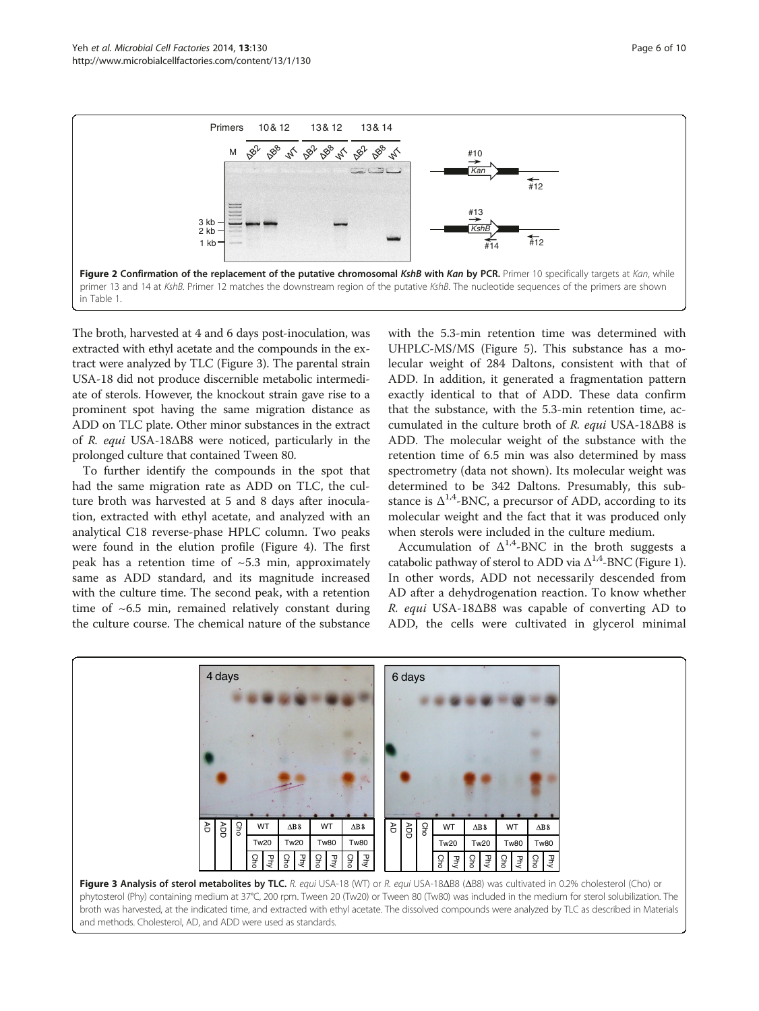<span id="page-5-0"></span>

The broth, harvested at 4 and 6 days post-inoculation, was extracted with ethyl acetate and the compounds in the extract were analyzed by TLC (Figure 3). The parental strain USA-18 did not produce discernible metabolic intermediate of sterols. However, the knockout strain gave rise to a prominent spot having the same migration distance as ADD on TLC plate. Other minor substances in the extract of R. equi USA-18ΔB8 were noticed, particularly in the prolonged culture that contained Tween 80.

To further identify the compounds in the spot that had the same migration rate as ADD on TLC, the culture broth was harvested at 5 and 8 days after inoculation, extracted with ethyl acetate, and analyzed with an analytical C18 reverse-phase HPLC column. Two peaks were found in the elution profile (Figure [4](#page-6-0)). The first peak has a retention time of  $\sim$ 5.3 min, approximately same as ADD standard, and its magnitude increased with the culture time. The second peak, with a retention time of  $~6.5$  min, remained relatively constant during the culture course. The chemical nature of the substance

with the 5.3-min retention time was determined with UHPLC-MS/MS (Figure [5](#page-6-0)). This substance has a molecular weight of 284 Daltons, consistent with that of ADD. In addition, it generated a fragmentation pattern exactly identical to that of ADD. These data confirm that the substance, with the 5.3-min retention time, accumulated in the culture broth of R. equi USA-18ΔB8 is ADD. The molecular weight of the substance with the retention time of 6.5 min was also determined by mass spectrometry (data not shown). Its molecular weight was determined to be 342 Daltons. Presumably, this substance is  $\Delta^{1,4}$ -BNC, a precursor of ADD, according to its molecular weight and the fact that it was produced only when sterols were included in the culture medium.

Accumulation of  $\Delta^{1,4}$ -BNC in the broth suggests a catabolic pathway of sterol to ADD via  $\Delta^{1,4}$ -BNC (Figure [1](#page-1-0)). In other words, ADD not necessarily descended from AD after a dehydrogenation reaction. To know whether R. equi USA-18ΔB8 was capable of converting AD to ADD, the cells were cultivated in glycerol minimal

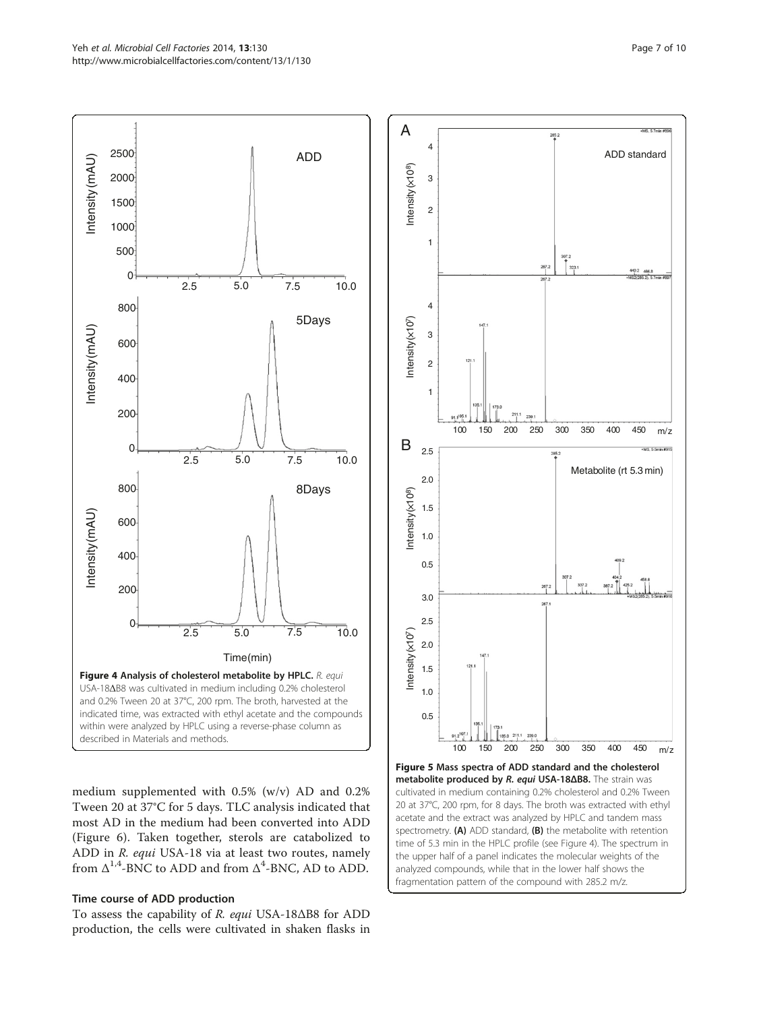<span id="page-6-0"></span>

medium supplemented with 0.5% (w/v) AD and 0.2% Tween 20 at 37°C for 5 days. TLC analysis indicated that most AD in the medium had been converted into ADD (Figure [6\)](#page-7-0). Taken together, sterols are catabolized to ADD in R. equi USA-18 via at least two routes, namely from  $\Delta^{1,4}$ -BNC to ADD and from  $\Delta^4$ -BNC, AD to ADD.

### Time course of ADD production

To assess the capability of R. equi USA-18ΔB8 for ADD production, the cells were cultivated in shaken flasks in



time of 5.3 min in the HPLC profile (see Figure 4). The spectrum in the upper half of a panel indicates the molecular weights of the analyzed compounds, while that in the lower half shows the fragmentation pattern of the compound with 285.2 m/z.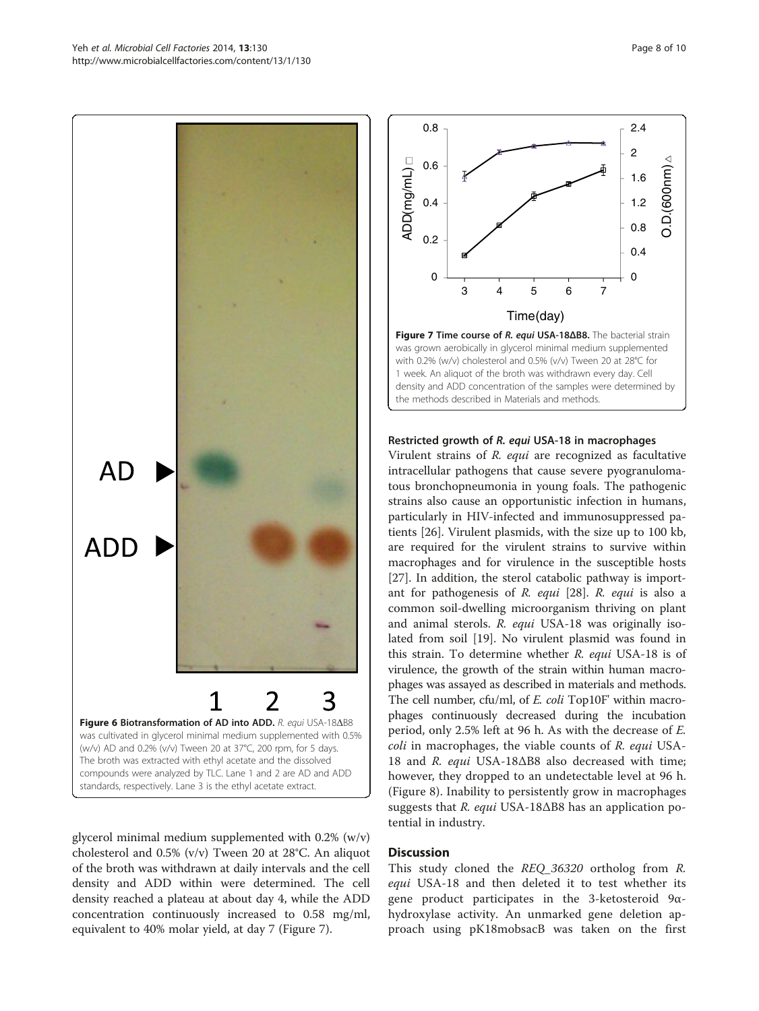<span id="page-7-0"></span>

glycerol minimal medium supplemented with 0.2% (w/v) cholesterol and 0.5% (v/v) Tween 20 at 28°C. An aliquot of the broth was withdrawn at daily intervals and the cell density and ADD within were determined. The cell density reached a plateau at about day 4, while the ADD

concentration continuously increased to 0.58 mg/ml, equivalent to 40% molar yield, at day 7 (Figure 7).



Restricted growth of R. equi USA-18 in macrophages

the methods described in [Materials and methods](#page-2-0).

density and ADD concentration of the samples were determined by

Virulent strains of R. equi are recognized as facultative intracellular pathogens that cause severe pyogranulomatous bronchopneumonia in young foals. The pathogenic strains also cause an opportunistic infection in humans, particularly in HIV-infected and immunosuppressed patients [\[26](#page-9-0)]. Virulent plasmids, with the size up to 100 kb, are required for the virulent strains to survive within macrophages and for virulence in the susceptible hosts [[27\]](#page-9-0). In addition, the sterol catabolic pathway is important for pathogenesis of R. equi [\[28](#page-9-0)]. R. equi is also a common soil-dwelling microorganism thriving on plant and animal sterols. R. equi USA-18 was originally isolated from soil [\[19](#page-9-0)]. No virulent plasmid was found in this strain. To determine whether R. equi USA-18 is of virulence, the growth of the strain within human macrophages was assayed as described in materials and methods. The cell number, cfu/ml, of E. coli Top10F' within macrophages continuously decreased during the incubation period, only 2.5% left at 96 h. As with the decrease of E. coli in macrophages, the viable counts of R. equi USA-18 and R. equi USA-18 $\Delta$ B8 also decreased with time; however, they dropped to an undetectable level at 96 h. (Figure [8](#page-8-0)). Inability to persistently grow in macrophages suggests that R. equi USA-18 $\Delta$ B8 has an application potential in industry.

#### **Discussion**

This study cloned the REQ\_36320 ortholog from R. equi USA-18 and then deleted it to test whether its gene product participates in the 3-ketosteroid 9αhydroxylase activity. An unmarked gene deletion approach using pK18mobsacB was taken on the first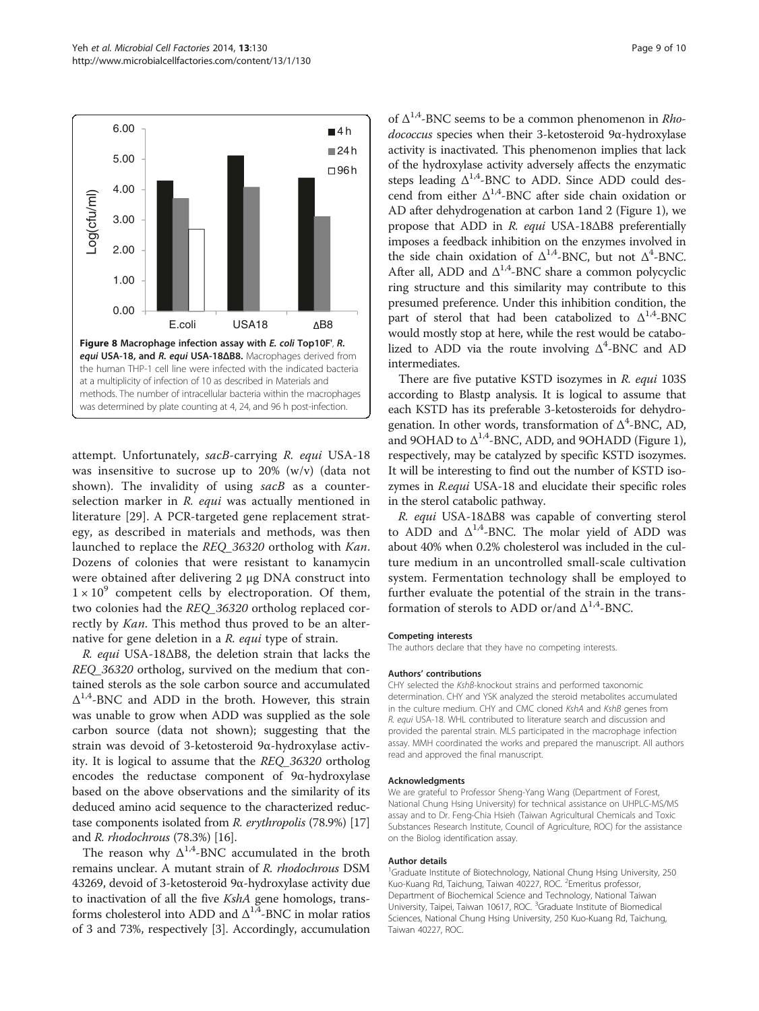<span id="page-8-0"></span>

attempt. Unfortunately, sacB-carrying R. equi USA-18 was insensitive to sucrose up to 20% (w/v) (data not shown). The invalidity of using sacB as a counterselection marker in R. equi was actually mentioned in literature [[29\]](#page-9-0). A PCR-targeted gene replacement strategy, as described in materials and methods, was then launched to replace the REQ\_36320 ortholog with Kan. Dozens of colonies that were resistant to kanamycin were obtained after delivering 2 μg DNA construct into  $1 \times 10^9$  competent cells by electroporation. Of them, two colonies had the REQ\_36320 ortholog replaced correctly by Kan. This method thus proved to be an alternative for gene deletion in a R. equi type of strain.

R. equi USA-18ΔB8, the deletion strain that lacks the REQ\_36320 ortholog, survived on the medium that contained sterols as the sole carbon source and accumulated  $\Delta^{1,4}$ -BNC and ADD in the broth. However, this strain was unable to grow when ADD was supplied as the sole carbon source (data not shown); suggesting that the strain was devoid of 3-ketosteroid 9α-hydroxylase activity. It is logical to assume that the REQ\_36320 ortholog encodes the reductase component of 9α-hydroxylase based on the above observations and the similarity of its deduced amino acid sequence to the characterized reductase components isolated from R. erythropolis (78.9%) [[17](#page-9-0)] and R. rhodochrous (78.3%) [\[16\]](#page-9-0).

The reason why  $\Delta^{1,4}$ -BNC accumulated in the broth remains unclear. A mutant strain of R. rhodochrous DSM 43269, devoid of 3-ketosteroid 9α-hydroxylase activity due to inactivation of all the five KshA gene homologs, transforms cholesterol into ADD and  $\Delta^{1,4}$ -BNC in molar ratios of 3 and 73%, respectively [\[3](#page-9-0)]. Accordingly, accumulation of  $\Delta^{1,4}$ -BNC seems to be a common phenomenon in *Rho*dococcus species when their 3-ketosteroid 9α-hydroxylase activity is inactivated. This phenomenon implies that lack of the hydroxylase activity adversely affects the enzymatic steps leading  $\Delta^{1,4}$ -BNC to ADD. Since ADD could descend from either  $\Delta^{1,4}$ -BNC after side chain oxidation or AD after dehydrogenation at carbon 1and 2 (Figure [1](#page-1-0)), we propose that ADD in R. equi USA-18ΔB8 preferentially imposes a feedback inhibition on the enzymes involved in the side chain oxidation of  $\Delta^{1,4}$ -BNC, but not  $\Delta^4$ -BNC. After all, ADD and  $\Delta^{1,4}$ -BNC share a common polycyclic ring structure and this similarity may contribute to this presumed preference. Under this inhibition condition, the part of sterol that had been catabolized to  $\Delta^{1,4}$ -BNC would mostly stop at here, while the rest would be catabolized to ADD via the route involving  $\Delta^4$ -BNC and AD intermediates.

There are five putative KSTD isozymes in R. equi 103S according to Blastp analysis. It is logical to assume that each KSTD has its preferable 3-ketosteroids for dehydrogenation. In other words, transformation of  $\Delta^4$ -BNC, AD, and 9OHAD to  $\Delta^{1,4}$ -BNC, ADD, and 9OHADD (Figure [1](#page-1-0)), respectively, may be catalyzed by specific KSTD isozymes. It will be interesting to find out the number of KSTD isozymes in R.equi USA-18 and elucidate their specific roles in the sterol catabolic pathway.

R. equi USA-18ΔB8 was capable of converting sterol to ADD and  $\Delta^{1,4}$ -BNC. The molar yield of ADD was about 40% when 0.2% cholesterol was included in the culture medium in an uncontrolled small-scale cultivation system. Fermentation technology shall be employed to further evaluate the potential of the strain in the transformation of sterols to ADD or/and  $\Delta^{1,4}$ -BNC.

#### Competing interests

The authors declare that they have no competing interests.

#### Authors' contributions

CHY selected the KshB-knockout strains and performed taxonomic determination. CHY and YSK analyzed the steroid metabolites accumulated in the culture medium. CHY and CMC cloned KshA and KshB genes from R. equi USA-18. WHL contributed to literature search and discussion and provided the parental strain. MLS participated in the macrophage infection assay. MMH coordinated the works and prepared the manuscript. All authors read and approved the final manuscript.

#### Acknowledgments

We are grateful to Professor Sheng-Yang Wang (Department of Forest, National Chung Hsing University) for technical assistance on UHPLC-MS/MS assay and to Dr. Feng-Chia Hsieh (Taiwan Agricultural Chemicals and Toxic Substances Research Institute, Council of Agriculture, ROC) for the assistance on the Biolog identification assay.

#### Author details

<sup>1</sup>Graduate Institute of Biotechnology, National Chung Hsing University, 250 Kuo-Kuang Rd, Taichung, Taiwan 40227, ROC. <sup>2</sup>Emeritus professor Department of Biochemical Science and Technology, National Taiwan University, Taipei, Taiwan 10617, ROC. <sup>3</sup>Graduate Institute of Biomedical Sciences, National Chung Hsing University, 250 Kuo-Kuang Rd, Taichung, Taiwan 40227, ROC.